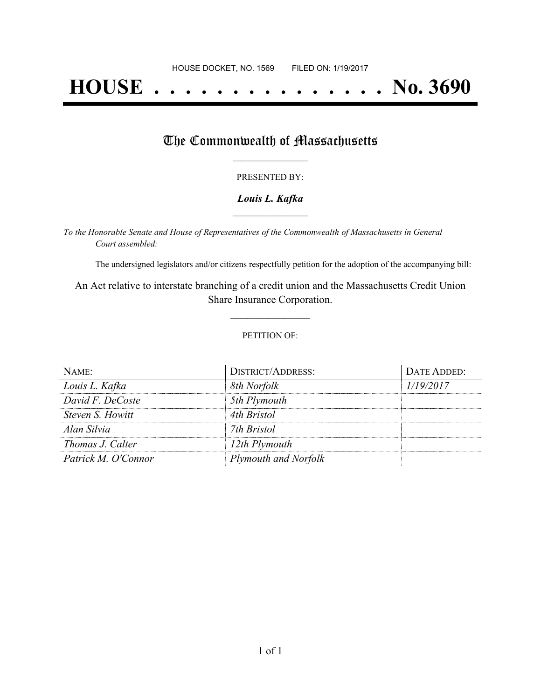# **HOUSE . . . . . . . . . . . . . . . No. 3690**

### The Commonwealth of Massachusetts

#### PRESENTED BY:

#### *Louis L. Kafka* **\_\_\_\_\_\_\_\_\_\_\_\_\_\_\_\_\_**

*To the Honorable Senate and House of Representatives of the Commonwealth of Massachusetts in General Court assembled:*

The undersigned legislators and/or citizens respectfully petition for the adoption of the accompanying bill:

An Act relative to interstate branching of a credit union and the Massachusetts Credit Union Share Insurance Corporation.

**\_\_\_\_\_\_\_\_\_\_\_\_\_\_\_**

#### PETITION OF:

| NAME:               | <b>DISTRICT/ADDRESS:</b> | DATE ADDED: |
|---------------------|--------------------------|-------------|
| Louis L. Kafka      | 8th Norfolk              | 1/19/2017   |
| David F. DeCoste    | 5th Plymouth             |             |
| Steven S. Howitt    | 4th Bristol              |             |
| Alan Silvia         | 7th Bristol              |             |
| Thomas J. Calter    | 12th Plymouth            |             |
| Patrick M. O'Connor | Plymouth and Norfolk     |             |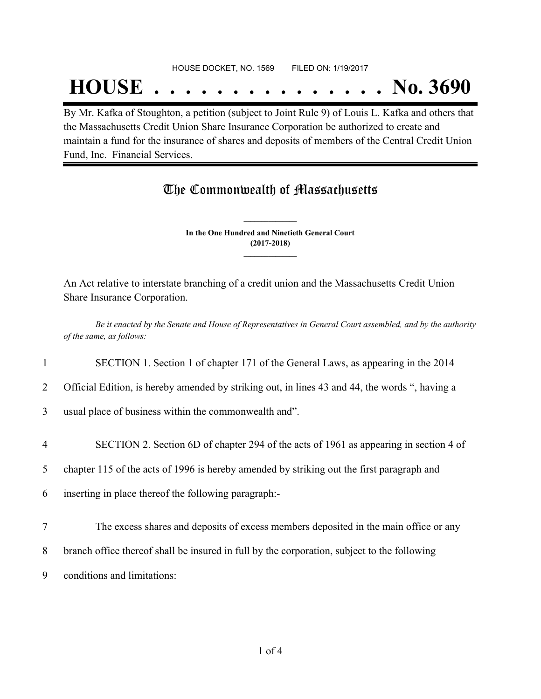## **HOUSE . . . . . . . . . . . . . . . No. 3690**

By Mr. Kafka of Stoughton, a petition (subject to Joint Rule 9) of Louis L. Kafka and others that the Massachusetts Credit Union Share Insurance Corporation be authorized to create and maintain a fund for the insurance of shares and deposits of members of the Central Credit Union Fund, Inc. Financial Services.

## The Commonwealth of Massachusetts

**In the One Hundred and Ninetieth General Court (2017-2018) \_\_\_\_\_\_\_\_\_\_\_\_\_\_\_**

**\_\_\_\_\_\_\_\_\_\_\_\_\_\_\_**

An Act relative to interstate branching of a credit union and the Massachusetts Credit Union Share Insurance Corporation.

Be it enacted by the Senate and House of Representatives in General Court assembled, and by the authority *of the same, as follows:*

1 SECTION 1. Section 1 of chapter 171 of the General Laws, as appearing in the 2014

2 Official Edition, is hereby amended by striking out, in lines 43 and 44, the words ", having a

3 usual place of business within the commonwealth and".

4 SECTION 2. Section 6D of chapter 294 of the acts of 1961 as appearing in section 4 of

5 chapter 115 of the acts of 1996 is hereby amended by striking out the first paragraph and

6 inserting in place thereof the following paragraph:-

- 7 The excess shares and deposits of excess members deposited in the main office or any
- 8 branch office thereof shall be insured in full by the corporation, subject to the following
- 9 conditions and limitations: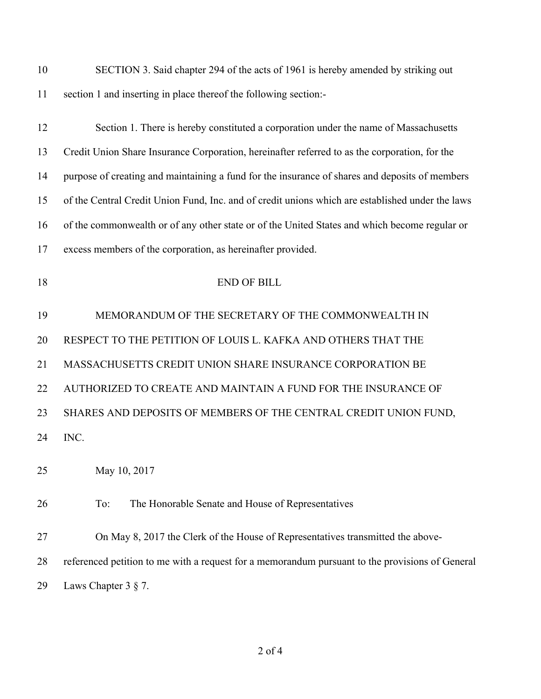| 10 | SECTION 3. Said chapter 294 of the acts of 1961 is hereby amended by striking out                |
|----|--------------------------------------------------------------------------------------------------|
| 11 | section 1 and inserting in place thereof the following section:-                                 |
| 12 | Section 1. There is hereby constituted a corporation under the name of Massachusetts             |
| 13 | Credit Union Share Insurance Corporation, hereinafter referred to as the corporation, for the    |
| 14 | purpose of creating and maintaining a fund for the insurance of shares and deposits of members   |
| 15 | of the Central Credit Union Fund, Inc. and of credit unions which are established under the laws |
| 16 | of the commonwealth or of any other state or of the United States and which become regular or    |
| 17 | excess members of the corporation, as hereinafter provided.                                      |
| 18 | <b>END OF BILL</b>                                                                               |
| 19 | MEMORANDUM OF THE SECRETARY OF THE COMMONWEALTH IN                                               |
| 20 | RESPECT TO THE PETITION OF LOUIS L. KAFKA AND OTHERS THAT THE                                    |
| 21 | MASSACHUSETTS CREDIT UNION SHARE INSURANCE CORPORATION BE                                        |
| 22 | AUTHORIZED TO CREATE AND MAINTAIN A FUND FOR THE INSURANCE OF                                    |
| 23 | SHARES AND DEPOSITS OF MEMBERS OF THE CENTRAL CREDIT UNION FUND,                                 |
| 24 | INC.                                                                                             |
| 25 | May 10, 2017                                                                                     |
| 26 | The Honorable Senate and House of Representatives<br>To:                                         |
| 27 | On May 8, 2017 the Clerk of the House of Representatives transmitted the above-                  |
| 28 | referenced petition to me with a request for a memorandum pursuant to the provisions of General  |
| 29 | Laws Chapter $3 \S 7$ .                                                                          |

of 4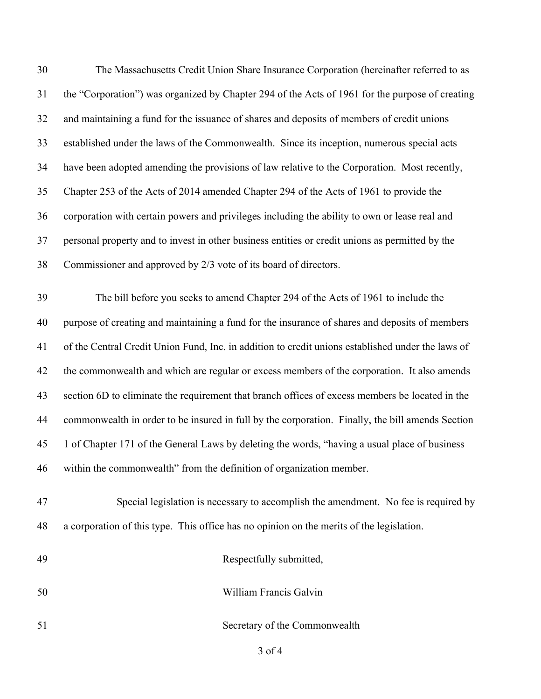| 30 | The Massachusetts Credit Union Share Insurance Corporation (hereinafter referred to as            |
|----|---------------------------------------------------------------------------------------------------|
| 31 | the "Corporation") was organized by Chapter 294 of the Acts of 1961 for the purpose of creating   |
| 32 | and maintaining a fund for the issuance of shares and deposits of members of credit unions        |
| 33 | established under the laws of the Commonwealth. Since its inception, numerous special acts        |
| 34 | have been adopted amending the provisions of law relative to the Corporation. Most recently,      |
| 35 | Chapter 253 of the Acts of 2014 amended Chapter 294 of the Acts of 1961 to provide the            |
| 36 | corporation with certain powers and privileges including the ability to own or lease real and     |
| 37 | personal property and to invest in other business entities or credit unions as permitted by the   |
| 38 | Commissioner and approved by 2/3 vote of its board of directors.                                  |
| 39 | The bill before you seeks to amend Chapter 294 of the Acts of 1961 to include the                 |
| 40 | purpose of creating and maintaining a fund for the insurance of shares and deposits of members    |
| 41 | of the Central Credit Union Fund, Inc. in addition to credit unions established under the laws of |
| 42 | the commonwealth and which are regular or excess members of the corporation. It also amends       |
| 43 | section 6D to eliminate the requirement that branch offices of excess members be located in the   |
| 44 | commonwealth in order to be insured in full by the corporation. Finally, the bill amends Section  |
| 45 | 1 of Chapter 171 of the General Laws by deleting the words, "having a usual place of business     |
| 46 | within the commonwealth" from the definition of organization member.                              |
| 47 | Special legislation is necessary to accomplish the amendment. No fee is required by               |
| 48 | a corporation of this type. This office has no opinion on the merits of the legislation.          |
| 49 | Respectfully submitted,                                                                           |
| 50 | William Francis Galvin                                                                            |
| 51 | Secretary of the Commonwealth                                                                     |
|    |                                                                                                   |

of 4